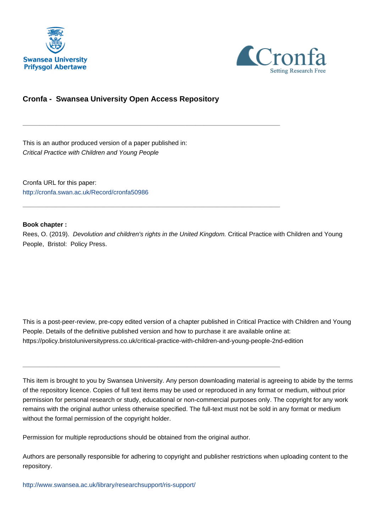



### **Cronfa - Swansea University Open Access Repository**

\_\_\_\_\_\_\_\_\_\_\_\_\_\_\_\_\_\_\_\_\_\_\_\_\_\_\_\_\_\_\_\_\_\_\_\_\_\_\_\_\_\_\_\_\_\_\_\_\_\_\_\_\_\_\_\_\_\_\_\_\_

\_\_\_\_\_\_\_\_\_\_\_\_\_\_\_\_\_\_\_\_\_\_\_\_\_\_\_\_\_\_\_\_\_\_\_\_\_\_\_\_\_\_\_\_\_\_\_\_\_\_\_\_\_\_\_\_\_\_\_\_\_

This is an author produced version of a paper published in: Critical Practice with Children and Young People

Cronfa URL for this paper: <http://cronfa.swan.ac.uk/Record/cronfa50986>

### **Book chapter :**

Rees, O. (2019). Devolution and children's rights in the United Kingdom. Critical Practice with Children and Young People, Bristol: Policy Press.

This is a post-peer-review, pre-copy edited version of a chapter published in Critical Practice with Children and Young People. Details of the definitive published version and how to purchase it are available online at: https://policy.bristoluniversitypress.co.uk/critical-practice-with-children-and-young-people-2nd-edition

This item is brought to you by Swansea University. Any person downloading material is agreeing to abide by the terms of the repository licence. Copies of full text items may be used or reproduced in any format or medium, without prior permission for personal research or study, educational or non-commercial purposes only. The copyright for any work remains with the original author unless otherwise specified. The full-text must not be sold in any format or medium without the formal permission of the copyright holder.

Permission for multiple reproductions should be obtained from the original author.

\_\_\_\_\_\_\_\_\_\_\_\_\_\_\_\_\_\_\_\_\_\_\_\_\_\_\_\_\_\_\_\_\_\_\_\_\_\_\_\_\_\_\_\_\_\_\_\_\_\_\_\_\_\_\_\_\_\_\_\_\_

Authors are personally responsible for adhering to copyright and publisher restrictions when uploading content to the repository.

[http://www.swansea.ac.uk/library/researchsupport/ris-support/](http://www.swansea.ac.uk/library/researchsupport/ris-support/ )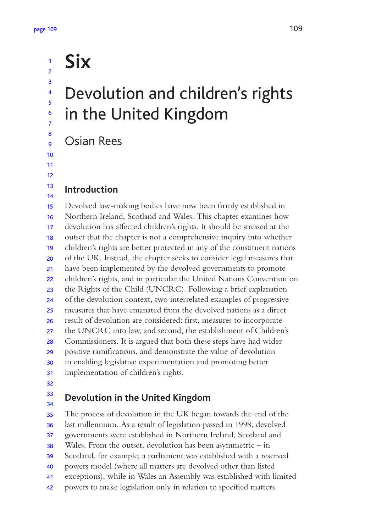# Devolution and children's rights in the United Kingdom

Osian Rees

**Six**

### 12

13 14

### **Introduction**

Devolved law-making bodies have now been firmly established in Northern Ireland, Scotland and Wales. This chapter examines how devolution has afected children's rights. It should be stressed at the outset that the chapter is not a comprehensive inquiry into whether children's rights are better protected in any of the constituent nations of the UK. Instead, the chapter seeks to consider legal measures that have been implemented by the devolved governments to promote children's rights, and in particular the United Nations Convention on the Rights of the Child (UNCRC). Following a brief explanation of the devolution context, two interrelated examples of progressive measures that have emanated from the devolved nations as a direct result of devolution are considered: first, measures to incorporate the UNCRC into law, and second, the establishment of Children's Commissioners. It is argued that both these steps have had wider positive ramifications, and demonstrate the value of devolution in enabling legislative experimentation and promoting better implementation of children's rights. 15 16 17 18 19 20 21 22 23 24 25 26 27 28 29 30 31

32

#### **Devolution in the United Kingdom** 33 34

The process of devolution in the UK began towards the end of the last millennium. As a result of legislation passed in 1998, devolved governments were established in Northern Ireland, Scotland and Wales. From the outset, devolution has been asymmetric – in Scotland, for example, a parliament was established with a reserved 35 36 37 38 39

- powers model (where all matters are devolved other than listed 40
- exceptions), while in Wales an Assembly was established with limited 41
- powers to make legislation only in relation to specified matters. 42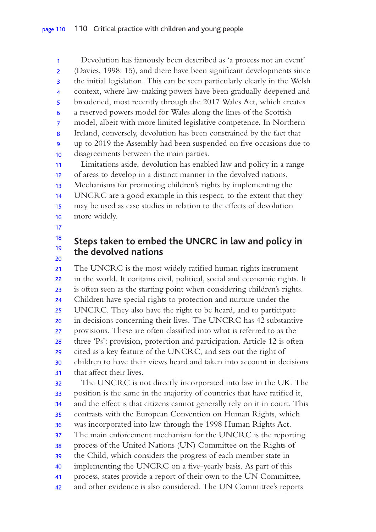Devolution has famously been described as 'a process not an event' (Davies, 1998: 15), and there have been significant developments since the initial legislation. This can be seen particularly clearly in the Welsh context, where law-making powers have been gradually deepened and broadened, most recently through the 2017 Wales Act, which creates a reserved powers model for Wales along the lines of the Scottish model, albeit with more limited legislative competence. In Northern Ireland, conversely, devolution has been constrained by the fact that up to 2019 the Assembly had been suspended on five occasions due to disagreements between the main parties. Limitations aside, devolution has enabled law and policy in a range of areas to develop in a distinct manner in the devolved nations. Mechanisms for promoting children's rights by implementing the UNCRC are a good example in this respect, to the extent that they may be used as case studies in relation to the efects of devolution 1 2 3 4 5 6 7 8 9 10 11 12 13 14 15

- more widely. 16
- 17

#### **Steps taken to embed the UNCRC in law and policy in the devolved nations** 18 19 20

The UNCRC is the most widely ratified human rights instrument in the world. It contains civil, political, social and economic rights. It is often seen as the starting point when considering children's rights. Children have special rights to protection and nurture under the UNCRC. They also have the right to be heard, and to participate in decisions concerning their lives. The UNCRC has 42 substantive provisions. These are often classified into what is referred to as the three 'Ps': provision, protection and participation. Article 12 is often cited as a key feature of the UNCRC, and sets out the right of children to have their views heard and taken into account in decisions that afect their lives. The UNCRC is not directly incorporated into law in the UK. The position is the same in the majority of countries that have ratified it, and the efect is that citizens cannot generally rely on it in court. This contrasts with the European Convention on Human Rights, which was incorporated into law through the 1998 Human Rights Act. The main enforcement mechanism for the UNCRC is the reporting process of the United Nations (UN) Committee on the Rights of the Child, which considers the progress of each member state in implementing the UNCRC on a five-yearly basis. As part of this process, states provide a report of their own to the UN Committee, and other evidence is also considered. The UN Committee's reports 21 22 23 24 25 26 27 28 29 30 31 32 33 34 35 36 37 38 39 40 41 42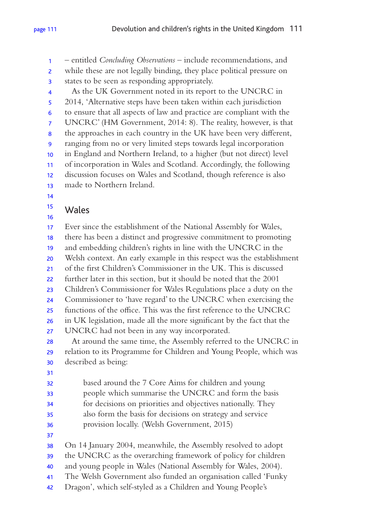– entitled *Concluding Observations* – include recommendations, and while these are not legally binding, they place political pressure on states to be seen as responding appropriately. As the UK Government noted in its report to the UNCRC in 1 2 3 4

2014, 'Alternative steps have been taken within each jurisdiction to ensure that all aspects of law and practice are compliant with the UNCRC' (HM Government, 2014: 8). The reality, however, is that the approaches in each country in the UK have been very diferent, ranging from no or very limited steps towards legal incorporation in England and Northern Ireland, to a higher (but not direct) level of incorporation in Wales and Scotland. Accordingly, the following discussion focuses on Wales and Scotland, though reference is also made to Northern Ireland. 5 6 7 8 9 10 11 12 13

14

### Wales 15 16

Ever since the establishment of the National Assembly for Wales, there has been a distinct and progressive commitment to promoting and embedding children's rights in line with the UNCRC in the Welsh context. An early example in this respect was the establishment of the first Children's Commissioner in the UK. This is discussed further later in this section, but it should be noted that the 2001 Children's Commissioner for Wales Regulations place a duty on the Commissioner to 'have regard' to the UNCRC when exercising the functions of the office. This was the first reference to the UNCRC in UK legislation, made all the more significant by the fact that the 17 18 19 20 21 22 23 24 25 26

UNCRC had not been in any way incorporated. 27

At around the same time, the Assembly referred to the UNCRC in relation to its Programme for Children and Young People, which was described as being: 28 29 30

31

based around the 7 Core Aims for children and young 32

- people which summarise the UNCRC and form the basis 33
- for decisions on priorities and objectives nationally. They 34
- also form the basis for decisions on strategy and service 35
- provision locally. (Welsh Government, 2015) 36
- 37

On 14 January 2004, meanwhile, the Assembly resolved to adopt 38

- the UNCRC as the overarching framework of policy for children 39
- and young people in Wales (National Assembly for Wales, 2004). 40
- The Welsh Government also funded an organisation called 'Funky 41
- Dragon', which self-styled as a Children and Young People's 42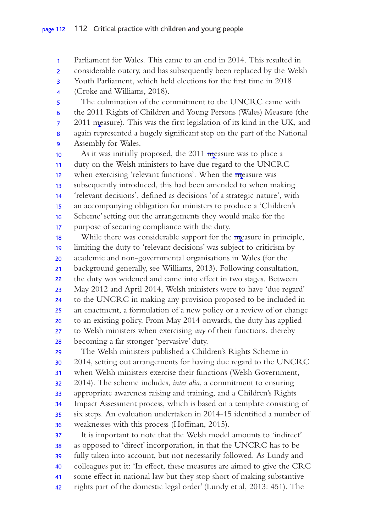Parliament for Wales. This came to an end in 2014. This resulted in considerable outcry, and has subsequently been replaced by the Welsh Youth Parliament, which held elections for the first time in 2018 (Croke and Williams, 2018). The culmination of the commitment to the UNCRC came with the 2011 Rights of Children and Young Persons (Wales) Measure (the  $2011$  measure). This was the first legislation of its kind in the UK, and again represented a hugely significant step on the part of the National Assembly for Wales. As it was initially proposed, the  $2011$  measure was to place a duty on the Welsh ministers to have due regard to the UNCRC when exercising 'relevant functions'. When the  $\overline{m}$  easure was subsequently introduced, this had been amended to when making 'relevant decisions', defined as decisions 'of a strategic nature', with an accompanying obligation for ministers to produce a 'Children's Scheme' setting out the arrangements they would make for the purpose of securing compliance with the duty. While there was considerable support for the measure in principle, limiting the duty to 'relevant decisions' was subject to criticism by academic and non-governmental organisations in Wales (for the background generally, see Williams, 2013). Following consultation, the duty was widened and came into efect in two stages. Between May 2012 and April 2014, Welsh ministers were to have 'due regard' to the UNCRC in making any provision proposed to be included in an enactment, a formulation of a new policy or a review of or change to an existing policy. From May 2014 onwards, the duty has applied to Welsh ministers when exercising *any* of their functions, thereby becoming a far stronger 'pervasive' duty. 1 2 3 4 5 6 7 8 9 10 11 12 13 14 15 16 17 18 19 20 21 22 23 24 25 26 27 28

The Welsh ministers published a Children's Rights Scheme in 2014, setting out arrangements for having due regard to the UNCRC when Welsh ministers exercise their functions (Welsh Government, 2014). The scheme includes, *inter alia*, a commitment to ensuring appropriate awareness raising and training, and a Children's Rights Impact Assessment process, which is based on a template consisting of six steps. An evaluation undertaken in 2014-15 identified a number of weaknesses with this process (Hoffman, 2015). 29 30 31 32 33 34 35 36

It is important to note that the Welsh model amounts to 'indirect' as opposed to 'direct' incorporation, in that the UNCRC has to be fully taken into account, but not necessarily followed. As Lundy and colleagues put it: 'In efect, these measures are aimed to give the CRC some efect in national law but they stop short of making substantive rights part of the domestic legal order' (Lundy et al, 2013: 451). The 37 38 39 40 41 42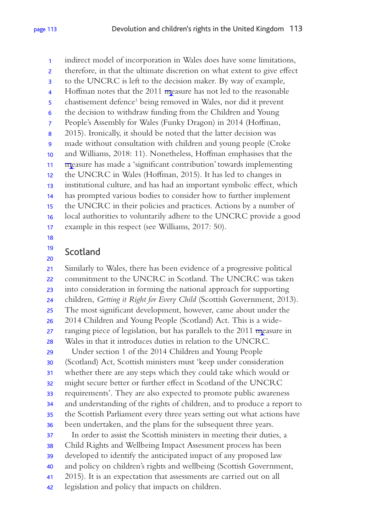indirect model of incorporation in Wales does have some limitations, therefore, in that the ultimate discretion on what extent to give efect 1 2

- to the UNCRC is left to the decision maker. By way of example, 3
- Hoffman notes that the  $2011$  measure has not led to the reasonable 4
- chastisement defence<sup>1</sup> being removed in Wales, nor did it prevent 5
- the decision to withdraw funding from the Children and Young 6
- People's Assembly for Wales (Funky Dragon) in 2014 (Hofman, 7
- 2015). Ironically, it should be noted that the latter decision was 8
- made without consultation with children and young people (Croke 9
- and Williams, 2018: 11). Nonetheless, Hofman emphasises that the 10
- measure has made a 'significant contribution' towards implementing 11
- the UNCRC in Wales (Hofman, 2015). It has led to changes in 12
- institutional culture, and has had an important symbolic efect, which 13
- has prompted various bodies to consider how to further implement 14
- the UNCRC in their policies and practices. Actions by a number of 15
- local authorities to voluntarily adhere to the UNCRC provide a good 16
- example in this respect (see Williams, 2017: 50). 17
- 18

#### Scotland 19 20

Similarly to Wales, there has been evidence of a progressive political commitment to the UNCRC in Scotland. The UNCRC was taken into consideration in forming the national approach for supporting children, *Getting it Right for Every Child* (Scottish Government, 2013). The most significant development, however, came about under the 2014 Children and Young People (Scotland) Act. This is a wideranging piece of legislation, but has parallels to the  $2011$  measure in Wales in that it introduces duties in relation to the UNCRC. Under section 1 of the 2014 Children and Young People (Scotland) Act, Scottish ministers must 'keep under consideration whether there are any steps which they could take which would or might secure better or further efect in Scotland of the UNCRC requirements'. They are also expected to promote public awareness and understanding of the rights of children, and to produce a report to the Scottish Parliament every three years setting out what actions have been undertaken, and the plans for the subsequent three years. In order to assist the Scottish ministers in meeting their duties, a Child Rights and Wellbeing Impact Assessment process has been developed to identify the anticipated impact of any proposed law and policy on children's rights and wellbeing (Scottish Government, 2015). It is an expectation that assessments are carried out on all legislation and policy that impacts on children. 21 22 23 24 25 26 27 28 29 30 31 32 33 34 35 36 37 38 39 40 41 42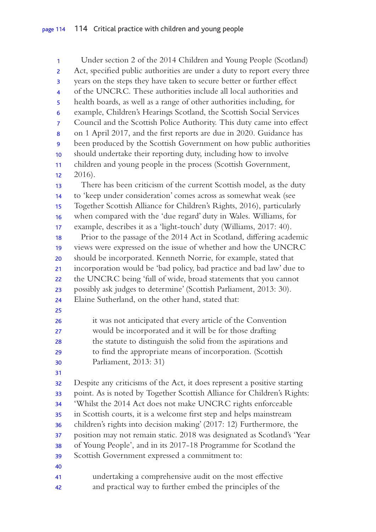Under section 2 of the 2014 Children and Young People (Scotland) Act, specified public authorities are under a duty to report every three years on the steps they have taken to secure better or further efect of the UNCRC. These authorities include all local authorities and health boards, as well as a range of other authorities including, for example, Children's Hearings Scotland, the Scottish Social Services Council and the Scottish Police Authority. This duty came into efect on 1 April 2017, and the first reports are due in 2020. Guidance has been produced by the Scottish Government on how public authorities should undertake their reporting duty, including how to involve children and young people in the process (Scottish Government, 2016). There has been criticism of the current Scottish model, as the duty to 'keep under consideration' comes across as somewhat weak (see Together Scottish Alliance for Children's Rights, 2016), particularly when compared with the 'due regard' duty in Wales. Williams, for example, describes it as a 'light-touch' duty (Williams, 2017: 40). Prior to the passage of the 2014 Act in Scotland, difering academic views were expressed on the issue of whether and how the UNCRC should be incorporated. Kenneth Norrie, for example, stated that incorporation would be 'bad policy, bad practice and bad law' due to the UNCRC being 'full of wide, broad statements that you cannot possibly ask judges to determine' (Scottish Parliament, 2013: 30). Elaine Sutherland, on the other hand, stated that: it was not anticipated that every article of the Convention would be incorporated and it will be for those drafting the statute to distinguish the solid from the aspirations and to find the appropriate means of incorporation. (Scottish Parliament, 2013: 31) Despite any criticisms of the Act, it does represent a positive starting point. As is noted by Together Scottish Alliance for Children's Rights: 'Whilst the 2014 Act does not make UNCRC rights enforceable in Scottish courts, it is a welcome first step and helps mainstream children's rights into decision making' (2017: 12) Furthermore, the position may not remain static. 2018 was designated as Scotland's 'Year of Young People', and in its 2017-18 Programme for Scotland the Scottish Government expressed a commitment to: undertaking a comprehensive audit on the most efective and practical way to further embed the principles of the 1 2 3 4 5 6 7 8 9 10 11 12 13 14 15 16 17 18 19 20 21 22 23 24 25 26 27 28 29 30 31 32 33 34 35 36 37 38 39 40 41 42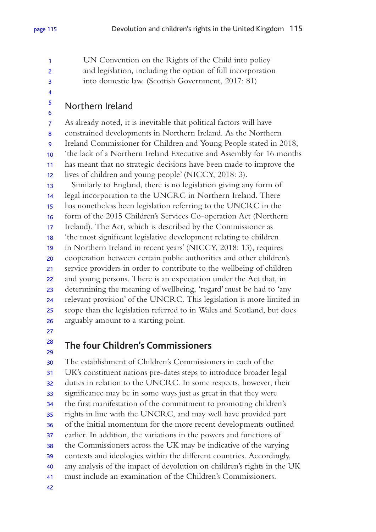UN Convention on the Rights of the Child into policy and legislation, including the option of full incorporation into domestic law. (Scottish Government, 2017: 81) 1 2 3

4 5

6

### Northern Ireland

As already noted, it is inevitable that political factors will have constrained developments in Northern Ireland. As the Northern Ireland Commissioner for Children and Young People stated in 2018, 'the lack of a Northern Ireland Executive and Assembly for 16 months has meant that no strategic decisions have been made to improve the lives of children and young people' (NICCY, 2018: 3). Similarly to England, there is no legislation giving any form of legal incorporation to the UNCRC in Northern Ireland. There has nonetheless been legislation referring to the UNCRC in the form of the 2015 Children's Services Co-operation Act (Northern Ireland). The Act, which is described by the Commissioner as 'the most significant legislative development relating to children in Northern Ireland in recent years' (NICCY, 2018: 13), requires cooperation between certain public authorities and other children's service providers in order to contribute to the wellbeing of children and young persons. There is an expectation under the Act that, in determining the meaning of wellbeing, 'regard' must be had to 'any relevant provision' of the UNCRC. This legislation is more limited in scope than the legislation referred to in Wales and Scotland, but does arguably amount to a starting point. 7 8 9 10 11 12 13 14 15 16 17 18 19 20 21 22 23 24 25 26

27 28

29

### **The four Children's Commissioners**

The establishment of Children's Commissioners in each of the UK's constituent nations pre-dates steps to introduce broader legal duties in relation to the UNCRC. In some respects, however, their significance may be in some ways just as great in that they were the first manifestation of the commitment to promoting children's rights in line with the UNCRC, and may well have provided part of the initial momentum for the more recent developments outlined earlier. In addition, the variations in the powers and functions of the Commissioners across the UK may be indicative of the varying contexts and ideologies within the diferent countries. Accordingly, any analysis of the impact of devolution on children's rights in the UK must include an examination of the Children's Commissioners. 30 31 32 33 34 35 36 37 38 39 40 41 42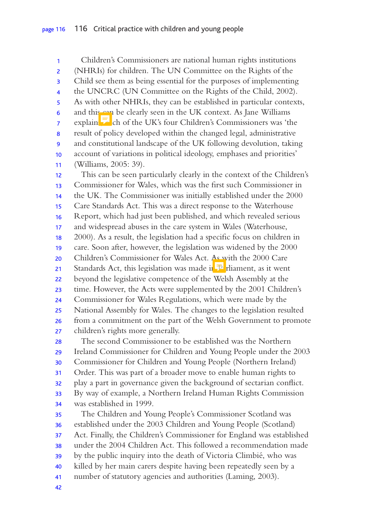Children's Commissioners are national human rights institutions (NHRIs) for children. The UN Committee on the Rights of the Child see them as being essential for the purposes of implementing the UNCRC (UN Committee on the Rights of the Child, 2002). As with other NHRIs, they can be established in particular contexts, and this can be clearly seen in the UK context. As Jane Williams explain che UK's four Children's Commissioners was 'the result of policy developed within the changed legal, administrative and constitutional landscape of the UK following devolution, taking account of variations in political ideology, emphases and priorities' (Williams, 2005: 39). This can be seen particularly clearly in the context of the Children's Commissioner for Wales, which was the first such Commissioner in the UK. The Commissioner was initially established under the 2000 Care Standards Act. This was a direct response to the Waterhouse Report, which had just been published, and which revealed serious and widespread abuses in the care system in Wales (Waterhouse, 2000). As a result, the legislation had a specific focus on children in care. Soon after, however, the legislation was widened by the 2000 Children's Commissioner for Wales Act. As with the 2000 Care Standards Act, this legislation was made in  $\mathbb{P}$  rliament, as it went beyond the legislative competence of the Welsh Assembly at the time. However, the Acts were supplemented by the 2001 Children's Commissioner for Wales Regulations, which were made by the National Assembly for Wales. The changes to the legislation resulted from a commitment on the part of the Welsh Government to promote children's rights more generally. The second Commissioner to be established was the Northern Ireland Commissioner for Children and Young People under the 2003 Commissioner for Children and Young People (Northern Ireland) Order. This was part of a broader move to enable human rights to play a part in governance given the background of sectarian conflict. By way of example, a Northern Ireland Human Rights Commission was established in 1999. The Children and Young People's Commissioner Scotland was established under the 2003 Children and Young People (Scotland) Act. Finally, the Children's Commissioner for England was established under the 2004 Children Act. This followed a recommendation made by the public inquiry into the death of Victoria Climbié, who was killed by her main carers despite having been repeatedly seen by a number of statutory agencies and authorities (Laming, 2003). 1 2 3 4 5 6 7 8 9 10 11 12 13 14 15 16 17 18 19 20 21 22 23 24 25 26 27 28 29 30 31 32 33 34 35 36 37 38 39 40 41

42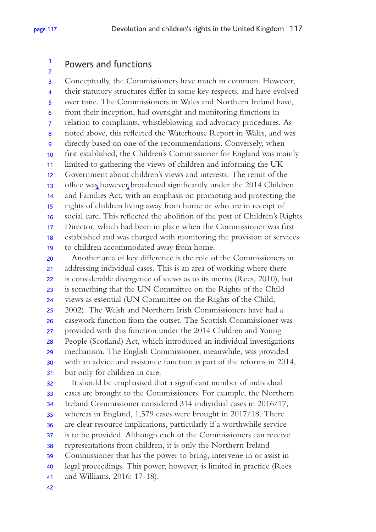#### Powers and functions 1 2

Conceptually, the Commissioners have much in common. However, their statutory structures difer in some key respects, and have evolved over time. The Commissioners in Wales and Northern Ireland have, from their inception, had oversight and monitoring functions in relation to complaints, whistleblowing and advocacy procedures. As noted above, this reflected the Waterhouse Report in Wales, and was directly based on one of the recommendations. Conversely, when first established, the Children's Commissioner for England was mainly limited to gathering the views of children and informing the UK Government about children's views and interests. The remit of the office was however broadened significantly under the 2014 Children and Families Act, with an emphasis on promoting and protecting the rights of children living away from home or who are in receipt of social care. This reflected the abolition of the post of Children's Rights Director, which had been in place when the Commissioner was first established and was charged with monitoring the provision of services to children accommodated away from home. 3 4 5 6 7 8 9 10 11 12 13 14 15 16 17 18 19

Another area of key diference is the role of the Commissioners in addressing individual cases. This is an area of working where there is considerable divergence of views as to its merits (Rees, 2010), but is something that the UN Committee on the Rights of the Child views as essential (UN Committee on the Rights of the Child, 2002). The Welsh and Northern Irish Commissioners have had a casework function from the outset. The Scottish Commissioner was provided with this function under the 2014 Children and Young People (Scotland) Act, which introduced an individual investigations mechanism. The English Commissioner, meanwhile, was provided with an advice and assistance function as part of the reforms in 2014, but only for children in care. 20 21 22 23 24 25 26 27 28 29 30 31

It should be emphasised that a significant number of individual cases are brought to the Commissioners. For example, the Northern Ireland Commissioner considered 314 individual cases in 2016/17, whereas in England, 1,579 cases were brought in 2017/18. There are clear resource implications, particularly if a worthwhile service is to be provided. Although each of the Commissioners can receive representations from children, it is only the Northern Ireland Commissioner that has the power to bring, intervene in or assist in legal proceedings. This power, however, is limited in practice (Rees and Williams, 2016: 17-18). 32 33 34 35 36 37 38 39 40 41

42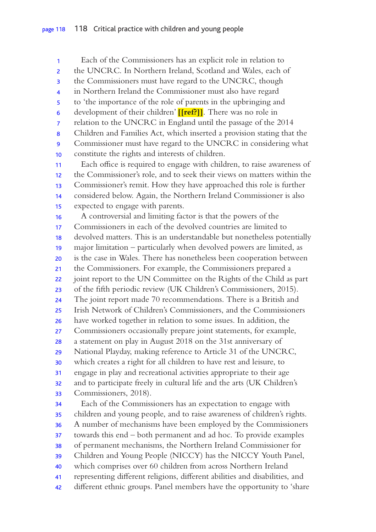Each of the Commissioners has an explicit role in relation to the UNCRC. In Northern Ireland, Scotland and Wales, each of the Commissioners must have regard to the UNCRC, though in Northern Ireland the Commissioner must also have regard to 'the importance of the role of parents in the upbringing and development of their children' **[[ref?]]**. There was no role in relation to the UNCRC in England until the passage of the 2014 Children and Families Act, which inserted a provision stating that the Commissioner must have regard to the UNCRC in considering what constitute the rights and interests of children. Each office is required to engage with children, to raise awareness of the Commissioner's role, and to seek their views on matters within the Commissioner's remit. How they have approached this role is further considered below. Again, the Northern Ireland Commissioner is also expected to engage with parents. A controversial and limiting factor is that the powers of the Commissioners in each of the devolved countries are limited to devolved matters. This is an understandable but nonetheless potentially major limitation – particularly when devolved powers are limited, as is the case in Wales. There has nonetheless been cooperation between the Commissioners. For example, the Commissioners prepared a joint report to the UN Committee on the Rights of the Child as part of the fifth periodic review (UK Children's Commissioners, 2015). The joint report made 70 recommendations. There is a British and Irish Network of Children's Commissioners, and the Commissioners have worked together in relation to some issues. In addition, the Commissioners occasionally prepare joint statements, for example, a statement on play in August 2018 on the 31st anniversary of National Playday, making reference to Article 31 of the UNCRC, which creates a right for all children to have rest and leisure, to engage in play and recreational activities appropriate to their age and to participate freely in cultural life and the arts (UK Children's Commissioners, 2018). Each of the Commissioners has an expectation to engage with children and young people, and to raise awareness of children's rights. A number of mechanisms have been employed by the Commissioners towards this end – both permanent and ad hoc. To provide examples of permanent mechanisms, the Northern Ireland Commissioner for Children and Young People (NICCY) has the NICCY Youth Panel, which comprises over 60 children from across Northern Ireland representing diferent religions, diferent abilities and disabilities, and diferent ethnic groups. Panel members have the opportunity to 'share 1 2 3 4 5 6 7 8 9 10 11 12 13 14 15 16 17 18 19 20 21 22 23 24 25 26 27 28 29 30 31 32 33 34 35 36 37 38 39 40 41 42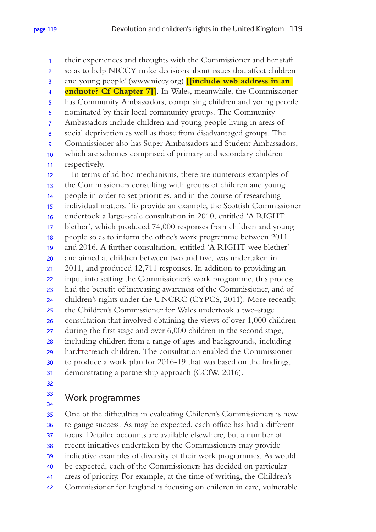their experiences and thoughts with the Commissioner and her staf so as to help NICCY make decisions about issues that afect children and young people' (www.niccy.org) **[[include web address in an endnote? Cf Chapter 7]]**. In Wales, meanwhile, the Commissioner has Community Ambassadors, comprising children and young people nominated by their local community groups. The Community Ambassadors include children and young people living in areas of social deprivation as well as those from disadvantaged groups. The Commissioner also has Super Ambassadors and Student Ambassadors, which are schemes comprised of primary and secondary children respectively. In terms of ad hoc mechanisms, there are numerous examples of the Commissioners consulting with groups of children and young people in order to set priorities, and in the course of researching individual matters. To provide an example, the Scottish Commissioner undertook a large-scale consultation in 2010, entitled 'A RIGHT blether', which produced 74,000 responses from children and young people so as to inform the office's work programme between 2011 and 2016. A further consultation, entitled 'A RIGHT wee blether' and aimed at children between two and five, was undertaken in 2011, and produced 12,711 responses. In addition to providing an input into setting the Commissioner's work programme, this process had the benefit of increasing awareness of the Commissioner, and of children's rights under the UNCRC (CYPCS, 2011). More recently, the Children's Commissioner for Wales undertook a two-stage consultation that involved obtaining the views of over 1,000 children during the first stage and over 6,000 children in the second stage, including children from a range of ages and backgrounds, including hard to reach children. The consultation enabled the Commissioner to produce a work plan for 2016-19 that was based on the findings, demonstrating a partnership approach (CCfW, 2016). 1 2 3 4 5 6 7 8 9 10 11 12 13 14 15 16 17 18 19 20 21 22 23 24 25 26 27 28 29 30 31 32

### Work programmes 33 34

One of the difficulties in evaluating Children's Commissioners is how to gauge success. As may be expected, each office has had a different focus. Detailed accounts are available elsewhere, but a number of recent initiatives undertaken by the Commissioners may provide indicative examples of diversity of their work programmes. As would be expected, each of the Commissioners has decided on particular areas of priority. For example, at the time of writing, the Children's Commissioner for England is focusing on children in care, vulnerable 35 36 37 38 39 40 41 42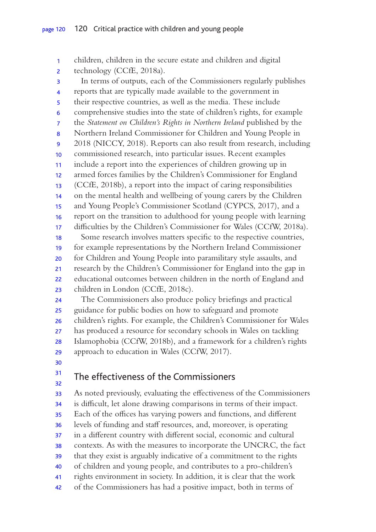children, children in the secure estate and children and digital technology (CCfE, 2018a). In terms of outputs, each of the Commissioners regularly publishes reports that are typically made available to the government in their respective countries, as well as the media. These include comprehensive studies into the state of children's rights, for example the *Statement on Children's Rights in Northern Ireland* published by the Northern Ireland Commissioner for Children and Young People in 2018 (NICCY, 2018). Reports can also result from research, including commissioned research, into particular issues. Recent examples include a report into the experiences of children growing up in armed forces families by the Children's Commissioner for England (CCfE, 2018b), a report into the impact of caring responsibilities on the mental health and wellbeing of young carers by the Children and Young People's Commissioner Scotland (CYPCS, 2017), and a report on the transition to adulthood for young people with learning difficulties by the Children's Commissioner for Wales (CCfW, 2018a). Some research involves matters specific to the respective countries, for example representations by the Northern Ireland Commissioner for Children and Young People into paramilitary style assaults, and research by the Children's Commissioner for England into the gap in educational outcomes between children in the north of England and children in London (CCfE, 2018c). 1 2 3 4 5 6 7 8 9 10 11 12 13 14 15 16 17 18 19 20 21 22 23

The Commissioners also produce policy briefings and practical guidance for public bodies on how to safeguard and promote children's rights. For example, the Children's Commissioner for Wales has produced a resource for secondary schools in Wales on tackling Islamophobia (CCfW, 2018b), and a framework for a children's rights approach to education in Wales (CCfW, 2017). 24 25 26 27 28 29

30 31

32

## The effectiveness of the Commissioners

As noted previously, evaluating the efectiveness of the Commissioners is difficult, let alone drawing comparisons in terms of their impact. Each of the offices has varying powers and functions, and different levels of funding and staf resources, and, moreover, is operating in a diferent country with diferent social, economic and cultural contexts. As with the measures to incorporate the UNCRC, the fact that they exist is arguably indicative of a commitment to the rights of children and young people, and contributes to a pro-children's rights environment in society. In addition, it is clear that the work of the Commissioners has had a positive impact, both in terms of 33 34 35 36 37 38 39 40 41 42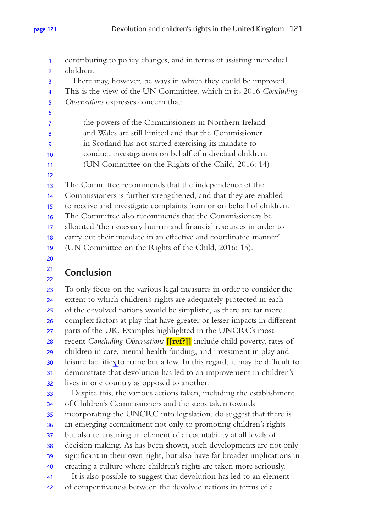contributing to policy changes, and in terms of assisting individual children. There may, however, be ways in which they could be improved. This is the view of the UN Committee, which in its 2016 *Concluding Observations* expresses concern that: the powers of the Commissioners in Northern Ireland and Wales are still limited and that the Commissioner in Scotland has not started exercising its mandate to conduct investigations on behalf of individual children. (UN Committee on the Rights of the Child, 2016: 14) The Committee recommends that the independence of the Commissioners is further strengthened, and that they are enabled to receive and investigate complaints from or on behalf of children. The Committee also recommends that the Commissioners be allocated 'the necessary human and financial resources in order to carry out their mandate in an efective and coordinated manner' (UN Committee on the Rights of the Child, 2016: 15). 1 2 3 4 5 6 7 8 9 10 11 12 13 14 15 16 17 18 19 20

### **Conclusion** 21 22

To only focus on the various legal measures in order to consider the extent to which children's rights are adequately protected in each of the devolved nations would be simplistic, as there are far more complex factors at play that have greater or lesser impacts in diferent parts of the UK. Examples highlighted in the UNCRC's most recent *Concluding Observations* **[[ref?]]** include child poverty, rates of children in care, mental health funding, and investment in play and leisure facilities to name but a few. In this regard, it may be difficult to demonstrate that devolution has led to an improvement in children's lives in one country as opposed to another. Despite this, the various actions taken, including the establishment 23 24 25 26 27 28 29 30 31 32 33

of Children's Commissioners and the steps taken towards incorporating the UNCRC into legislation, do suggest that there is an emerging commitment not only to promoting children's rights but also to ensuring an element of accountability at all levels of decision making. As has been shown, such developments are not only significant in their own right, but also have far broader implications in creating a culture where children's rights are taken more seriously. It is also possible to suggest that devolution has led to an element of competitiveness between the devolved nations in terms of a 34 35 36 37 38 39 40 41 42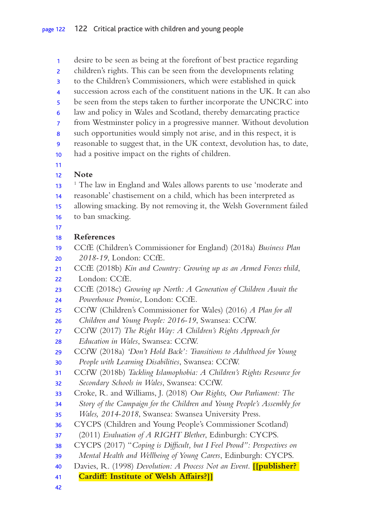desire to be seen as being at the forefront of best practice regarding children's rights. This can be seen from the developments relating to the Children's Commissioners, which were established in quick succession across each of the constituent nations in the UK. It can also 1 2 3 4

- be seen from the steps taken to further incorporate the UNCRC into 5
- law and policy in Wales and Scotland, thereby demarcating practice 6
- from Westminster policy in a progressive manner. Without devolution 7
- such opportunities would simply not arise, and in this respect, it is 8
- reasonable to suggest that, in the UK context, devolution has, to date, 9
- had a positive impact on the rights of children. 10
- 11

#### **Note** 12

- <sup>1</sup> The law in England and Wales allows parents to use 'moderate and 13
- reasonable' chastisement on a child, which has been interpreted as 14
- allowing smacking. By not removing it, the Welsh Government failed 15
- to ban smacking. 16
- 17

#### **References** 18

- CCfE (Children's Commissioner for England) (2018a) *Business Plan 2018-19*, London: CCfE. 19 20
- CCfE (2018b) *Kin and Country: Growing up as an Armed Forces child*, 21
- London: CCfE. 22
- CCfE (2018c) *Growing up North: A Generation of Children Await the Powerhouse Promise*, London: CCfE. 23 24
- CCfW (Children's Commissioner for Wales) (2016) *A Plan for all Children and Young People: 2016-19*, Swansea: CCfW. 25 26
- CCfW (2017) *The Right Way: A Children's Rights Approach for Education in Wales*, Swansea: CCfW. 27 28
- CCfW (2018a) *'Don't Hold Back': Transitions to Adulthood for Young People with Learning Disabilities*, Swansea: CCfW. 29 30
- CCfW (2018b) *Tackling Islamophobia: A Children's Rights Resource for Secondary Schools in Wales*, Swansea: CCfW. 31 32
- Croke, R. and Williams, J. (2018) *Our Rights, Our Parliament: The*  33
- *Story of the Campaign for the Children and Young People's Assembly for*  34
- *Wales, 2014-2018*, Swansea: Swansea University Press. 35
- CYCPS (Children and Young People's Commissioner Scotland) 36
- (2011) *Evaluation of A RIGHT Blether*, Edinburgh: CYCPS. 37
- CYCPS (2017) "*Coping is Difcult, but I Feel Proud": Perspectives on*  38
- *Mental Health and Wellbeing of Young Carers*, Edinburgh: CYCPS. 39
- Davies, R. (1998) *Devolution: A Process Not an Event*. **[[publisher?**  40
- **Cardif: Institute of Welsh Afairs?]]** 41
- 42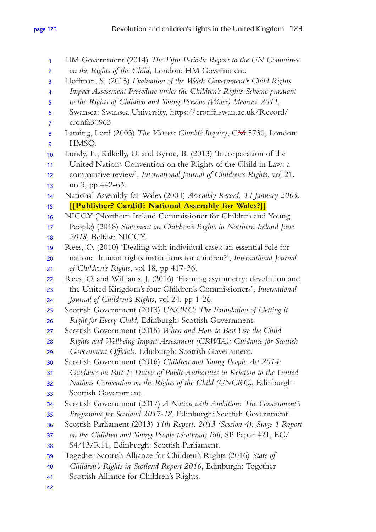HM Government (2014) *The Fifth Periodic Report to the UN Committee on the Rights of the Child*, London: HM Government. Hofman, S. (2015) *Evaluation of the Welsh Government's Child Rights Impact Assessment Procedure under the Children's Rights Scheme pursuant to the Rights of Children and Young Persons (Wales) Measure 2011*, Swansea: Swansea University, https://cronfa.swan.ac.uk/Record/ cronfa30963. Laming, Lord (2003) *The Victoria Climbié Inquiry*, C<del>M</del> 5730, London: HMSO. Lundy, L., Kilkelly, U. and Byrne, B. (2013) 'Incorporation of the United Nations Convention on the Rights of the Child in Law: a comparative review', *International Journal of Children's Rights*, vol 21, no 3, pp 442-63. National Assembly for Wales (2004) *Assembly Record, 14 January 2003*. **[[Publisher? Cardif: National Assembly for Wales?]]** NICCY (Northern Ireland Commissioner for Children and Young People) (2018) *Statement on Children's Rights in Northern Ireland June 2018*, Belfast: NICCY. Rees, O. (2010) 'Dealing with individual cases: an essential role for national human rights institutions for children?', *International Journal of Children's Rights*, vol 18, pp 417-36. Rees, O. and Williams, J. (2016) 'Framing asymmetry: devolution and the United Kingdom's four Children's Commissioners', *International Journal of Children's Rights*, vol 24, pp 1-26. Scottish Government (2013) *UNCRC: The Foundation of Getting it Right for Every Child*, Edinburgh: Scottish Government. Scottish Government (2015) *When and How to Best Use the Child Rights and Wellbeing Impact Assessment (CRWIA): Guidance for Scottish Government Ofcials*, Edinburgh: Scottish Government. Scottish Government (2016) *Children and Young People Act 2014: Guidance on Part 1: Duties of Public Authorities in Relation to the United Nations Convention on the Rights of the Child (UNCRC)*, Edinburgh: Scottish Government. Scottish Government (2017) *A Nation with Ambition: The Government's Programme for Scotland 2017-18*, Edinburgh: Scottish Government. Scottish Parliament (2013) *11th Report, 2013 (Session 4): Stage 1 Report on the Children and Young People (Scotland) Bill*, SP Paper 421, EC/ S4/13/R11, Edinburgh: Scottish Parliament. Together Scottish Alliance for Children's Rights (2016) *State of Children's Rights in Scotland Report 2016*, Edinburgh: Together Scottish Alliance for Children's Rights. 1 2 3 4 5 6 7 8 9 10 11 12 13 14 15 16 17 18 19 20 21 22 23 24 25 26 27 28 29 30 31 32 33 34 35 36 37 38 39 40 41 42